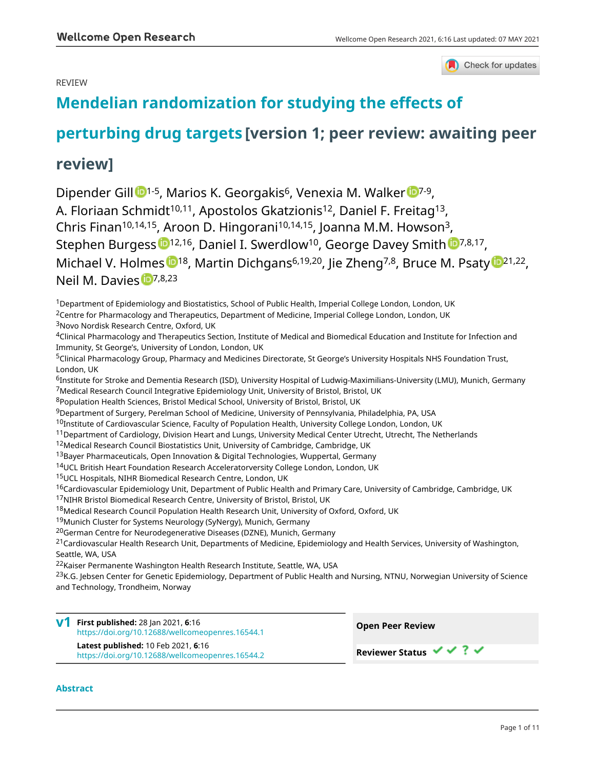## REVIEW



# **[Mendelian randomization for studying the effects of](https://wellcomeopenresearch.org/articles/6-16/v1)**

# **[perturbing drug targets](https://wellcomeopenresearch.org/articles/6-16/v1) [version 1; peer review: awaiting peer**

# **review]**

Dipender Gi[l](https://orcid.org/0000-0001-7312-7078)l <sup>1-5</sup>, Ma[r](https://orcid.org/0000-0001-5064-446X)ios K. Georgakis<sup>6</sup>, Venexia M. Walker <sup>1-9</sup>, A. Floriaan Schmidt<sup>10,11</sup>, Apostolos Gkatzionis<sup>12</sup>, Daniel F. Freitag<sup>13</sup>, Chris Finan<sup>10,14,15</sup>, Aroon D. Hingorani<sup>10,14,15</sup>, Joanna M.M. Howson<sup>3</sup>, Stephen Burgess [1](https://orcid.org/0000-0001-5365-8760)<sup>12,16</sup>, Daniel I. Swerdlow<sup>10</sup>, George Davey Smith <sup>17,8,17</sup>, Michael V. Holmes <sup>18</sup>, Martin Dichgans<sup>6,19,20</sup>, Jie Zheng<sup>7,8</sup>, Bruce M. Psat[y](https://orcid.org/0000-0002-7278-2190) <sup>19,21,22</sup>, Neil M. Davies D7,8,23

<sup>1</sup>Department of Epidemiology and Biostatistics, School of Public Health, Imperial College London, London, UK

<sup>2</sup>Centre for Pharmacology and Therapeutics, Department of Medicine, Imperial College London, London, UK

<sup>3</sup>Novo Nordisk Research Centre, Oxford, UK

<sup>4</sup>Clinical Pharmacology and Therapeutics Section, Institute of Medical and Biomedical Education and Institute for Infection and Immunity, St George's, University of London, London, UK

<sup>5</sup>Clinical Pharmacology Group, Pharmacy and Medicines Directorate, St George's University Hospitals NHS Foundation Trust, London, UK

<sup>6</sup>Institute for Stroke and Dementia Research (ISD), University Hospital of Ludwig-Maximilians-University (LMU), Munich, Germany <sup>7</sup>Medical Research Council Integrative Epidemiology Unit, University of Bristol, Bristol, UK

<sup>8</sup>Population Health Sciences, Bristol Medical School, University of Bristol, Bristol, UK

<sup>9</sup>Department of Surgery, Perelman School of Medicine, University of Pennsylvania, Philadelphia, PA, USA

 $10$ Institute of Cardiovascular Science, Faculty of Population Health, University College London, London, UK

- $11$ Department of Cardiology, Division Heart and Lungs, University Medical Center Utrecht, Utrecht, The Netherlands
- <sup>12</sup>Medical Research Council Biostatistics Unit, University of Cambridge, Cambridge, UK
- <sup>13</sup>Bayer Pharmaceuticals, Open Innovation & Digital Technologies, Wuppertal, Germany
- <sup>14</sup>UCL British Heart Foundation Research Acceleratorversity College London, London, UK

<sup>15</sup>UCL Hospitals, NIHR Biomedical Research Centre, London, UK

<sup>16</sup>Cardiovascular Epidemiology Unit, Department of Public Health and Primary Care, University of Cambridge, Cambridge, UK

<sup>17</sup>NIHR Bristol Biomedical Research Centre, University of Bristol, Bristol, UK

<sup>18</sup>Medical Research Council Population Health Research Unit, University of Oxford, Oxford, UK

<sup>19</sup>Munich Cluster for Systems Neurology (SyNergy), Munich, Germany

<sup>20</sup>German Centre for Neurodegenerative Diseases (DZNE), Munich, Germany

<sup>21</sup>Cardiovascular Health Research Unit, Departments of Medicine, Epidemiology and Health Services, University of Washington, Seattle, WA, USA

<sup>22</sup>Kaiser Permanente Washington Health Research Institute, Seattle, WA, USA

<sup>23</sup>K.G. Jebsen Center for Genetic Epidemiology, Department of Public Health and Nursing, NTNU, Norwegian University of Science and Technology, Trondheim, Norway

**First published:** 28 Jan 2021, **6**:16 **v1** <https://doi.org/10.12688/wellcomeopenres.16544.1> **Latest published:** 10 Feb 2021, **6**:16 <https://doi.org/10.12688/wellcomeopenres.16544.2>

**Open Peer Review**

**Reviewer Status ↓ ↓ ? ↓** 

### **Abstract**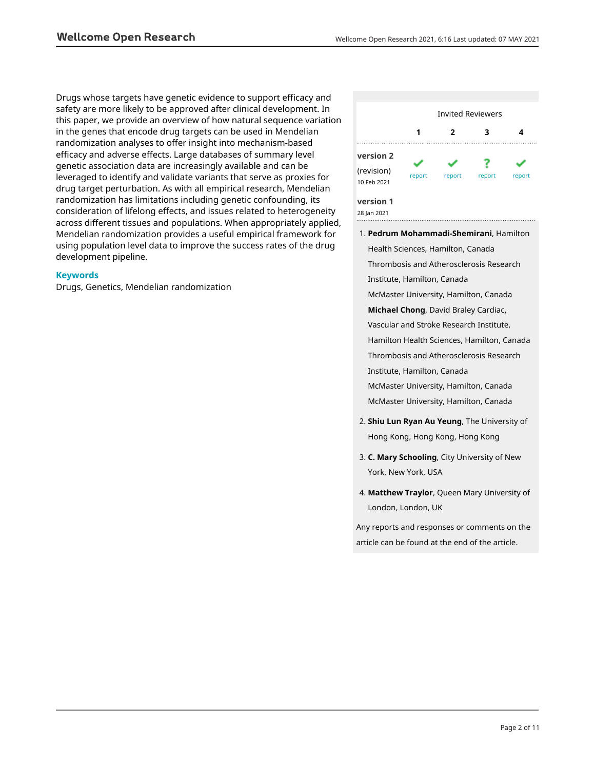Drugs whose targets have genetic evidence to support efficacy and safety are more likely to be approved after clinical development. In this paper, we provide an overview of how natural sequence variation in the genes that encode drug targets can be used in Mendelian randomization analyses to offer insight into mechanism-based efficacy and adverse effects. Large databases of summary level genetic association data are increasingly available and can be leveraged to identify and validate variants that serve as proxies for drug target perturbation. As with all empirical research, Mendelian randomization has limitations including genetic confounding, its consideration of lifelong effects, and issues related to heterogeneity across different tissues and populations. When appropriately applied, Mendelian randomization provides a useful empirical framework for using population level data to improve the success rates of the drug development pipeline.

### **Keywords**

Drugs, Genetics, Mendelian randomization



- **Pedrum Mohammadi-Shemirani**, Hamilton 1. Health Sciences, Hamilton, Canada Thrombosis and Atherosclerosis Research Institute, Hamilton, Canada McMaster University, Hamilton, Canada **Michael Chong**, David Braley Cardiac, Vascular and Stroke Research Institute, Hamilton Health Sciences, Hamilton, Canada Thrombosis and Atherosclerosis Research Institute, Hamilton, Canada McMaster University, Hamilton, Canada McMaster University, Hamilton, Canada
- **Shiu Lun Ryan Au Yeung**, The University of 2. Hong Kong, Hong Kong, Hong Kong
- **C. Mary Schooling**, City University of New 3. York, New York, USA
- **Matthew Traylor**, Queen Mary University of 4. London, London, UK

Any reports and responses or comments on the article can be found at the end of the article.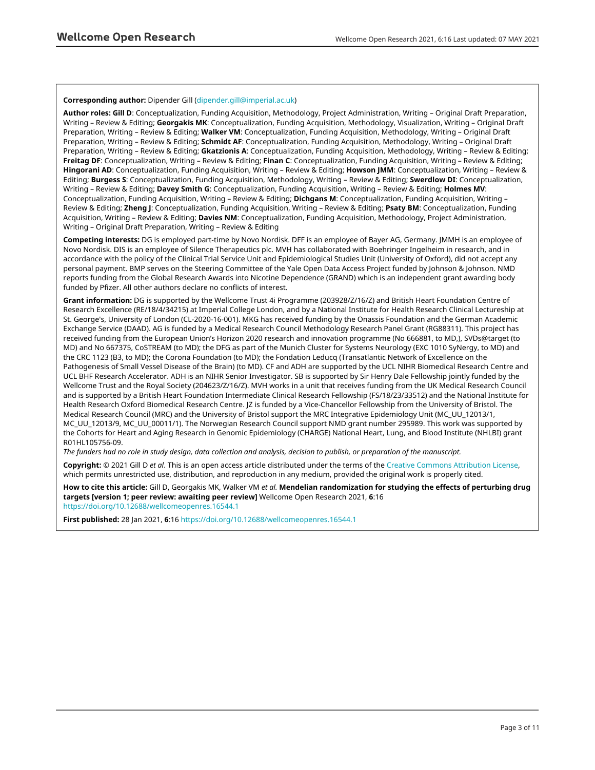#### **Corresponding author:** Dipender Gill ([dipender.gill@imperial.ac.uk](mailto:dipender.gill@imperial.ac.uk))

**Author roles: Gill D**: Conceptualization, Funding Acquisition, Methodology, Project Administration, Writing – Original Draft Preparation, Writing – Review & Editing; **Georgakis MK**: Conceptualization, Funding Acquisition, Methodology, Visualization, Writing – Original Draft Preparation, Writing – Review & Editing; **Walker VM**: Conceptualization, Funding Acquisition, Methodology, Writing – Original Draft Preparation, Writing – Review & Editing; **Schmidt AF**: Conceptualization, Funding Acquisition, Methodology, Writing – Original Draft Preparation, Writing – Review & Editing; **Gkatzionis A**: Conceptualization, Funding Acquisition, Methodology, Writing – Review & Editing; **Freitag DF**: Conceptualization, Writing – Review & Editing; **Finan C**: Conceptualization, Funding Acquisition, Writing – Review & Editing; **Hingorani AD**: Conceptualization, Funding Acquisition, Writing – Review & Editing; **Howson JMM**: Conceptualization, Writing – Review & Editing; **Burgess S**: Conceptualization, Funding Acquisition, Methodology, Writing – Review & Editing; **Swerdlow DI**: Conceptualization, Writing – Review & Editing; **Davey Smith G**: Conceptualization, Funding Acquisition, Writing – Review & Editing; **Holmes MV**: Conceptualization, Funding Acquisition, Writing – Review & Editing; **Dichgans M**: Conceptualization, Funding Acquisition, Writing – Review & Editing; **Zheng J**: Conceptualization, Funding Acquisition, Writing – Review & Editing; **Psaty BM**: Conceptualization, Funding Acquisition, Writing – Review & Editing; **Davies NM**: Conceptualization, Funding Acquisition, Methodology, Project Administration, Writing – Original Draft Preparation, Writing – Review & Editing

**Competing interests:** DG is employed part-time by Novo Nordisk. DFF is an employee of Bayer AG, Germany. JMMH is an employee of Novo Nordisk. DIS is an employee of Silence Therapeutics plc. MVH has collaborated with Boehringer Ingelheim in research, and in accordance with the policy of the Clinical Trial Service Unit and Epidemiological Studies Unit (University of Oxford), did not accept any personal payment. BMP serves on the Steering Committee of the Yale Open Data Access Project funded by Johnson & Johnson. NMD reports funding from the Global Research Awards into Nicotine Dependence (GRAND) which is an independent grant awarding body funded by Pfizer. All other authors declare no conflicts of interest.

**Grant information:** DG is supported by the Wellcome Trust 4i Programme (203928/Z/16/Z) and British Heart Foundation Centre of Research Excellence (RE/18/4/34215) at Imperial College London, and by a National Institute for Health Research Clinical Lectureship at St. George's, University of London (CL-2020-16-001). MKG has received funding by the Onassis Foundation and the German Academic Exchange Service (DAAD). AG is funded by a Medical Research Council Methodology Research Panel Grant (RG88311). This project has received funding from the European Union's Horizon 2020 research and innovation programme (No 666881, to MD,), SVDs@target (to MD) and No 667375, CoSTREAM (to MD); the DFG as part of the Munich Cluster for Systems Neurology (EXC 1010 SyNergy, to MD) and the CRC 1123 (B3, to MD); the Corona Foundation (to MD); the Fondation Leducq (Transatlantic Network of Excellence on the Pathogenesis of Small Vessel Disease of the Brain) (to MD). CF and ADH are supported by the UCL NIHR Biomedical Research Centre and UCL BHF Research Accelerator. ADH is an NIHR Senior Investigator. SB is supported by Sir Henry Dale Fellowship jointly funded by the Wellcome Trust and the Royal Society (204623/Z/16/Z). MVH works in a unit that receives funding from the UK Medical Research Council and is supported by a British Heart Foundation Intermediate Clinical Research Fellowship (FS/18/23/33512) and the National Institute for Health Research Oxford Biomedical Research Centre. JZ is funded by a Vice-Chancellor Fellowship from the University of Bristol. The Medical Research Council (MRC) and the University of Bristol support the MRC Integrative Epidemiology Unit (MC\_UU\_12013/1, MC\_UU\_12013/9, MC\_UU\_00011/1). The Norwegian Research Council support NMD grant number 295989. This work was supported by the Cohorts for Heart and Aging Research in Genomic Epidemiology (CHARGE) National Heart, Lung, and Blood Institute (NHLBI) grant R01HL105756-09.

*The funders had no role in study design, data collection and analysis, decision to publish, or preparation of the manuscript.*

**Copyright:** © 2021 Gill D *et al*. This is an open access article distributed under the terms of the [Creative Commons Attribution License](http://creativecommons.org/licenses/by/4.0/), which permits unrestricted use, distribution, and reproduction in any medium, provided the original work is properly cited.

**How to cite this article:** Gill D, Georgakis MK, Walker VM *et al.* **Mendelian randomization for studying the effects of perturbing drug targets [version 1; peer review: awaiting peer review]** Wellcome Open Research 2021, **6**:16 <https://doi.org/10.12688/wellcomeopenres.16544.1>

**First published:** 28 Jan 2021, **6**:16<https://doi.org/10.12688/wellcomeopenres.16544.1>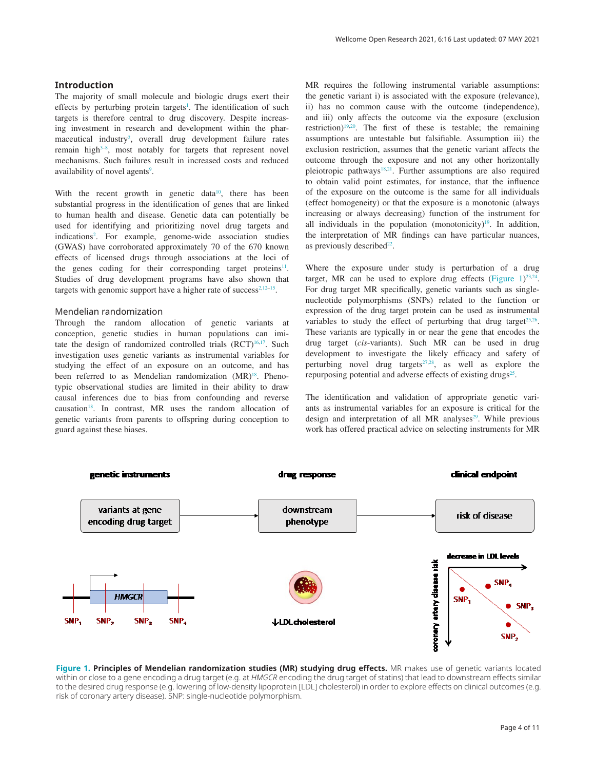#### **Introduction**

The majority of small molecule and biologic drugs exert their effects by perturbing protein targets<sup>[1](#page-8-0)</sup>. The identification of such targets is therefore central to drug discovery. Despite increasing investment in research and development within the phar-maceutical industry<sup>[2](#page-8-0)</sup>, overall drug development failure rates remain high<sup>3–8</sup>, most notably for targets that represent novel mechanisms. Such failures result in increased costs and reduced availability of novel agents<sup>[9](#page-8-0)</sup>.

With the recent growth in genetic data<sup>10</sup>, there has been substantial progress in the identification of genes that are linked to human health and disease. Genetic data can potentially be used for identifying and prioritizing novel drug targets and indication[s2](#page-8-0) . For example, genome-wide association studies (GWAS) have corroborated approximately 70 of the 670 known effects of licensed drugs through associations at the loci of the genes coding for their corresponding target proteins<sup>[11](#page-8-0)</sup>. Studies of drug development programs have also shown that targets with genomic support have a higher rate of success<sup>2,12–15</sup>.

#### Mendelian randomization

Through the random allocation of genetic variants at conception, genetic studies in human populations can imitate the design of randomized controlled trials  $(RCT)^{16,17}$ . Such investigation uses genetic variants as instrumental variables for studying the effect of an exposure on an outcome, and has been referred to as Mendelian randomization (MR)<sup>18</sup>. Phenotypic observational studies are limited in their ability to draw causal inferences due to bias from confounding and reverse causation<sup>18</sup>. In contrast, MR uses the random allocation of genetic variants from parents to offspring during conception to guard against these biases.

MR requires the following instrumental variable assumptions: the genetic variant i) is associated with the exposure (relevance), ii) has no common cause with the outcome (independence), and iii) only affects the outcome via the exposure (exclusion restriction)[19,20.](#page-8-0) The first of these is testable; the remaining assumptions are untestable but falsifiable. Assumption iii) the exclusion restriction, assumes that the genetic variant affects the outcome through the exposure and not any other horizontally pleiotropic pathways<sup>18,21</sup>. Further assumptions are also required to obtain valid point estimates, for instance, that the influence of the exposure on the outcome is the same for all individuals (effect homogeneity) or that the exposure is a monotonic (always increasing or always decreasing) function of the instrument for all individuals in the population (monotonicity) $19$ . In addition, the interpretation of MR findings can have particular nuances, as previously described<sup>22</sup>.

Where the exposure under study is perturbation of a drug target, MR can be used to explore drug effects (Figure  $1)^{23,24}$  $1)^{23,24}$  $1)^{23,24}$ . For drug target MR specifically, genetic variants such as singlenucleotide polymorphisms (SNPs) related to the function or expression of the drug target protein can be used as instrumental variables to study the effect of perturbing that drug target<sup> $25,26$ </sup>. These variants are typically in or near the gene that encodes the drug target (*cis*-variants). Such MR can be used in drug development to investigate the likely efficacy and safety of perturbing novel drug targets $27,28$ , as well as explore the repurposing potential and adverse effects of existing drugs<sup>25</sup>.

The identification and validation of appropriate genetic variants as instrumental variables for an exposure is critical for the design and interpretation of all MR analyses<sup>29</sup>. While previous work has offered practical advice on selecting instruments for MR



**Figure 1. Principles of Mendelian randomization studies (MR) studying drug effects.** MR makes use of genetic variants located within or close to a gene encoding a drug target (e.g. at *HMGCR* encoding the drug target of statins) that lead to downstream effects similar to the desired drug response (e.g. lowering of low-density lipoprotein [LDL] cholesterol) in order to explore effects on clinical outcomes (e.g. risk of coronary artery disease). SNP: single-nucleotide polymorphism.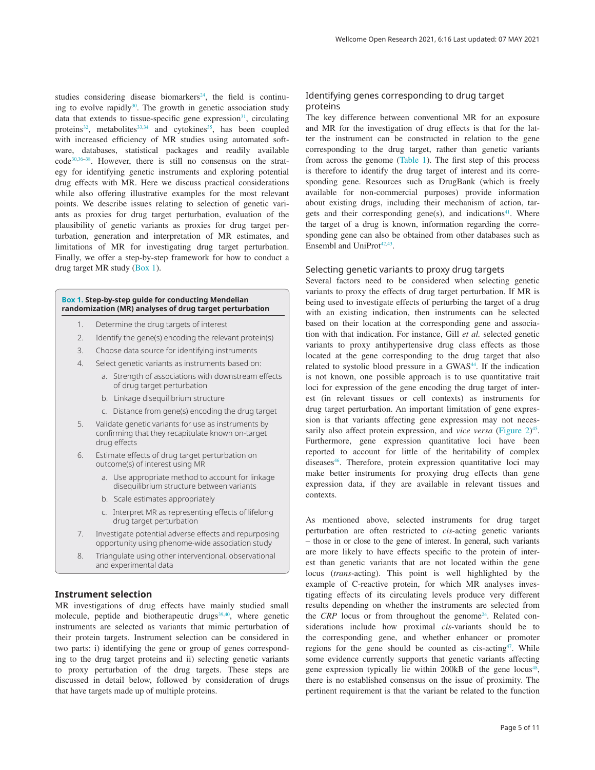studies considering disease biomarkers<sup>[24](#page-9-0)</sup>, the field is continuing to evolve rapidly $30$ . The growth in genetic association study data that extends to tissue-specific gene expression $31$ , circulating proteins<sup>32</sup>, metabolites<sup>33,34</sup> and cytokines<sup>35</sup>, has been coupled with increased efficiency of MR studies using automated software, databases, statistical packages and readily available code[30,36–38](#page-9-0). However, there is still no consensus on the strategy for identifying genetic instruments and exploring potential drug effects with MR. Here we discuss practical considerations while also offering illustrative examples for the most relevant points. We describe issues relating to selection of genetic variants as proxies for drug target perturbation, evaluation of the plausibility of genetic variants as proxies for drug target perturbation, generation and interpretation of MR estimates, and limitations of MR for investigating drug target perturbation. Finally, we offer a step-by-step framework for how to conduct a drug target MR study (Box 1).

#### **Box 1. Step-by-step guide for conducting Mendelian randomization (MR) analyses of drug target perturbation**

- 1. Determine the drug targets of interest
- 2. Identify the gene(s) encoding the relevant protein(s)
- 3. Choose data source for identifying instruments
- 4. Select genetic variants as instruments based on:
	- a. Strength of associations with downstream effects of drug target perturbation
	- b. Linkage disequilibrium structure
	- c. Distance from gene(s) encoding the drug target
- 5. Validate genetic variants for use as instruments by confirming that they recapitulate known on-target drug effects
- 6. Estimate effects of drug target perturbation on outcome(s) of interest using MR
	- a. Use appropriate method to account for linkage disequilibrium structure between variants
	- b. Scale estimates appropriately
	- c. Interpret MR as representing effects of lifelong drug target perturbation
- 7. Investigate potential adverse effects and repurposing opportunity using phenome-wide association study
- 8. Triangulate using other interventional, observational and experimental data

#### **Instrument selection**

MR investigations of drug effects have mainly studied small molecule, peptide and biotherapeutic drugs<sup>39,40</sup>, where genetic instruments are selected as variants that mimic perturbation of their protein targets. Instrument selection can be considered in two parts: i) identifying the gene or group of genes corresponding to the drug target proteins and ii) selecting genetic variants to proxy perturbation of the drug targets. These steps are discussed in detail below, followed by consideration of drugs that have targets made up of multiple proteins.

#### Identifying genes corresponding to drug target proteins

The key difference between conventional MR for an exposure and MR for the investigation of drug effects is that for the latter the instrument can be constructed in relation to the gene corresponding to the drug target, rather than genetic variants from across the genome [\(Table 1](#page-5-0)). The first step of this process is therefore to identify the drug target of interest and its corresponding gene. Resources such as DrugBank (which is freely available for non-commercial purposes) provide information about existing drugs, including their mechanism of action, targets and their corresponding gene(s), and indications $41$ . Where the target of a drug is known, information regarding the corresponding gene can also be obtained from other databases such as Ensembl and UniProt<sup>42,43</sup>.

#### Selecting genetic variants to proxy drug targets

Several factors need to be considered when selecting genetic variants to proxy the effects of drug target perturbation. If MR is being used to investigate effects of perturbing the target of a drug with an existing indication, then instruments can be selected based on their location at the corresponding gene and association with that indication. For instance, Gill *et al.* selected genetic variants to proxy antihypertensive drug class effects as those located at the gene corresponding to the drug target that also related to systolic blood pressure in a GWAS<sup>44</sup>. If the indication is not known, one possible approach is to use quantitative trait loci for expression of the gene encoding the drug target of interest (in relevant tissues or cell contexts) as instruments for drug target perturbation. An important limitation of gene expression is that variants affecting gene expression may not necessarily also affect protein expression, and *vice versa* ([Figure 2](#page-5-0))<sup>[45](#page-9-0)</sup>. Furthermore, gene expression quantitative loci have been reported to account for little of the heritability of complex diseases<sup>46</sup>. Therefore, protein expression quantitative loci may make better instruments for proxying drug effects than gene expression data, if they are available in relevant tissues and contexts.

As mentioned above, selected instruments for drug target perturbation are often restricted to *cis*-acting genetic variants – those in or close to the gene of interest. In general, such variants are more likely to have effects specific to the protein of interest than genetic variants that are not located within the gene locus (*trans*-acting). This point is well highlighted by the example of C-reactive protein, for which MR analyses investigating effects of its circulating levels produce very different results depending on whether the instruments are selected from the *CRP* locus or from throughout the genome<sup>[24](#page-9-0)</sup>. Related considerations include how proximal *cis*-variants should be to the corresponding gene, and whether enhancer or promoter regions for the gene should be counted as  $cis\text{-acting}^{47}$ . While some evidence currently supports that genetic variants affecting gene expression typically lie within 200kB of the gene locus<sup>48</sup>, there is no established consensus on the issue of proximity. The pertinent requirement is that the variant be related to the function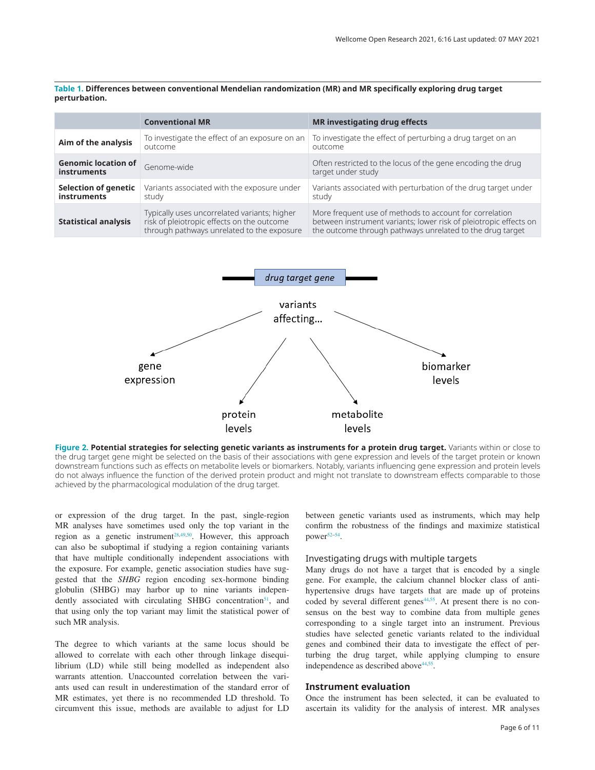<span id="page-5-0"></span>**Table 1. Differences between conventional Mendelian randomization (MR) and MR specifically exploring drug target perturbation.**

|                                                   | <b>Conventional MR</b>                                                                                                                   | <b>MR</b> investigating drug effects                                                                                                                                                      |
|---------------------------------------------------|------------------------------------------------------------------------------------------------------------------------------------------|-------------------------------------------------------------------------------------------------------------------------------------------------------------------------------------------|
| Aim of the analysis                               | To investigate the effect of an exposure on an<br>outcome                                                                                | To investigate the effect of perturbing a drug target on an<br>outcome                                                                                                                    |
| <b>Genomic location of</b><br><b>instruments</b>  | Genome-wide                                                                                                                              | Often restricted to the locus of the gene encoding the drug<br>target under study                                                                                                         |
| <b>Selection of genetic</b><br><b>instruments</b> | Variants associated with the exposure under<br>study                                                                                     | Variants associated with perturbation of the drug target under<br>study                                                                                                                   |
| <b>Statistical analysis</b>                       | Typically uses uncorrelated variants; higher<br>risk of pleiotropic effects on the outcome<br>through pathways unrelated to the exposure | More frequent use of methods to account for correlation<br>between instrument variants; lower risk of pleiotropic effects on<br>the outcome through pathways unrelated to the drug target |



**Figure 2. Potential strategies for selecting genetic variants as instruments for a protein drug target.** Variants within or close to the drug target gene might be selected on the basis of their associations with gene expression and levels of the target protein or known downstream functions such as effects on metabolite levels or biomarkers. Notably, variants influencing gene expression and protein levels do not always influence the function of the derived protein product and might not translate to downstream effects comparable to those achieved by the pharmacological modulation of the drug target.

or expression of the drug target. In the past, single-region MR analyses have sometimes used only the top variant in the region as a genetic instrument<sup>28,[49,50](#page-9-0)</sup>. However, this approach can also be suboptimal if studying a region containing variants that have multiple conditionally independent associations with the exposure. For example, genetic association studies have suggested that the *SHBG* region encoding sex-hormone binding globulin (SHBG) may harbor up to nine variants independently associated with circulating SHBG concentration<sup>51</sup>, and that using only the top variant may limit the statistical power of such MR analysis.

The degree to which variants at the same locus should be allowed to correlate with each other through linkage disequilibrium (LD) while still being modelled as independent also warrants attention. Unaccounted correlation between the variants used can result in underestimation of the standard error of MR estimates, yet there is no recommended LD threshold. To circumvent this issue, methods are available to adjust for LD

between genetic variants used as instruments, which may help confirm the robustness of the findings and maximize statistical power<sup>[52–54](#page-9-0)</sup>.

#### Investigating drugs with multiple targets

Many drugs do not have a target that is encoded by a single gene. For example, the calcium channel blocker class of antihypertensive drugs have targets that are made up of proteins coded by several different genes<sup>44,55</sup>. At present there is no consensus on the best way to combine data from multiple genes corresponding to a single target into an instrument. Previous studies have selected genetic variants related to the individual genes and combined their data to investigate the effect of perturbing the drug target, while applying clumping to ensure independence as described above<sup>44,55</sup>.

#### **Instrument evaluation**

Once the instrument has been selected, it can be evaluated to ascertain its validity for the analysis of interest. MR analyses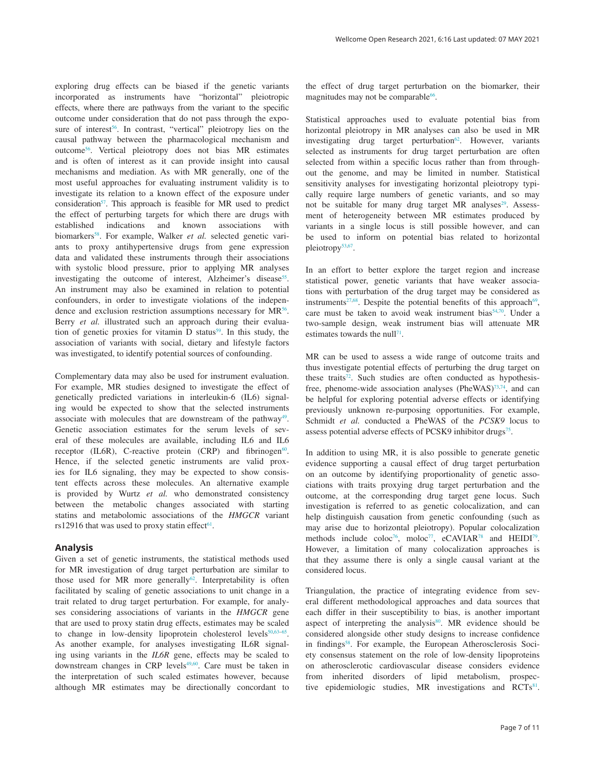exploring drug effects can be biased if the genetic variants incorporated as instruments have "horizontal" pleiotropic effects, where there are pathways from the variant to the specific outcome under consideration that do not pass through the exposure of interest<sup>56</sup>. In contrast, "vertical" pleiotropy lies on the causal pathway between the pharmacological mechanism and outcome[56.](#page-9-0) Vertical pleiotropy does not bias MR estimates and is often of interest as it can provide insight into causal mechanisms and mediation. As with MR generally, one of the most useful approaches for evaluating instrument validity is to investigate its relation to a known effect of the exposure under consideration<sup>57</sup>. This approach is feasible for MR used to predict the effect of perturbing targets for which there are drugs with established indications and known associations with biomarkers<sup>58</sup>. For example, Walker *et al.* selected genetic variants to proxy antihypertensive drugs from gene expression data and validated these instruments through their associations with systolic blood pressure, prior to applying MR analyses investigating the outcome of interest, Alzheimer's disease<sup>55</sup>. An instrument may also be examined in relation to potential confounders, in order to investigate violations of the independence and exclusion restriction assumptions necessary for  $MR^{56}$ . Berry *et al.* illustrated such an approach during their evaluation of genetic proxies for vitamin D status<sup>59</sup>. In this study, the association of variants with social, dietary and lifestyle factors was investigated, to identify potential sources of confounding.

Complementary data may also be used for instrument evaluation. For example, MR studies designed to investigate the effect of genetically predicted variations in interleukin-6 (IL6) signaling would be expected to show that the selected instruments associate with molecules that are downstream of the pathway<sup>49</sup>. Genetic association estimates for the serum levels of several of these molecules are available, including IL6 and IL6 receptor (IL6R), C-reactive protein (CRP) and fibrinogen $60$ . Hence, if the selected genetic instruments are valid proxies for IL6 signaling, they may be expected to show consistent effects across these molecules. An alternative example is provided by Wurtz *et al.* who demonstrated consistency between the metabolic changes associated with starting statins and metabolomic associations of the *HMGCR* variant rs12916 that was used to proxy statin effect<sup>61</sup>.

#### **Analysis**

Given a set of genetic instruments, the statistical methods used for MR investigation of drug target perturbation are similar to those used for MR more generally<sup>62</sup>. Interpretability is often facilitated by scaling of genetic associations to unit change in a trait related to drug target perturbation. For example, for analyses considering associations of variants in the *HMGCR* gene that are used to proxy statin drug effects, estimates may be scaled to change in low-density lipoprotein cholesterol levels<sup>50,63-65</sup>. As another example, for analyses investigating IL6R signaling using variants in the *IL6R* gene, effects may be scaled to downstream changes in CRP levels<sup>49,60</sup>. Care must be taken in the interpretation of such scaled estimates however, because although MR estimates may be directionally concordant to

the effect of drug target perturbation on the biomarker, their magnitudes may not be comparable<sup>66</sup>.

Statistical approaches used to evaluate potential bias from horizontal pleiotropy in MR analyses can also be used in MR investigating drug target perturbation $62$ . However, variants selected as instruments for drug target perturbation are often selected from within a specific locus rather than from throughout the genome, and may be limited in number. Statistical sensitivity analyses for investigating horizontal pleiotropy typically require large numbers of genetic variants, and so may not be suitable for many drug target MR analyses<sup>[29](#page-9-0)</sup>. Assessment of heterogeneity between MR estimates produced by variants in a single locus is still possible however, and can be used to inform on potential bias related to horizontal pleiotropy<sup>[53,67](#page-9-0)</sup>.

In an effort to better explore the target region and increase statistical power, genetic variants that have weaker associations with perturbation of the drug target may be considered as instruments<sup>[27](#page-9-0)[,68](#page-10-0)</sup>. Despite the potential benefits of this approach<sup>69</sup>, care must be taken to avoid weak instrument bias<sup>54,70</sup>. Under a two-sample design, weak instrument bias will attenuate MR estimates towards the null<sup>71</sup>.

MR can be used to assess a wide range of outcome traits and thus investigate potential effects of perturbing the drug target on these traits<sup>[72](#page-10-0)</sup>. Such studies are often conducted as hypothesisfree, phenome-wide association analyses (PheWAS)<sup>73,74</sup>, and can be helpful for exploring potential adverse effects or identifying previously unknown re-purposing opportunities. For example, Schmidt *et al.* conducted a PheWAS of the *PCSK9* locus to assess potential adverse effects of PCSK9 inhibitor drugs<sup>75</sup>.

In addition to using MR, it is also possible to generate genetic evidence supporting a causal effect of drug target perturbation on an outcome by identifying proportionality of genetic associations with traits proxying drug target perturbation and the outcome, at the corresponding drug target gene locus. Such investigation is referred to as genetic colocalization, and can help distinguish causation from genetic confounding (such as may arise due to horizontal pleiotropy). Popular colocalization methods include coloc<sup>76</sup>, moloc<sup>[77](#page-10-0)</sup>, eCAVIAR<sup>78</sup> and HEIDI<sup>79</sup>. However, a limitation of many colocalization approaches is that they assume there is only a single causal variant at the considered locus.

Triangulation, the practice of integrating evidence from several different methodological approaches and data sources that each differ in their susceptibility to bias, is another important aspect of interpreting the analysis $80$ . MR evidence should be considered alongside other study designs to increase confidence in findings<sup>58</sup>. For example, the European Atherosclerosis Society consensus statement on the role of low-density lipoproteins on atherosclerotic cardiovascular disease considers evidence from inherited disorders of lipid metabolism, prospective epidemiologic studies, MR investigations and  $RCTs<sup>81</sup>$ .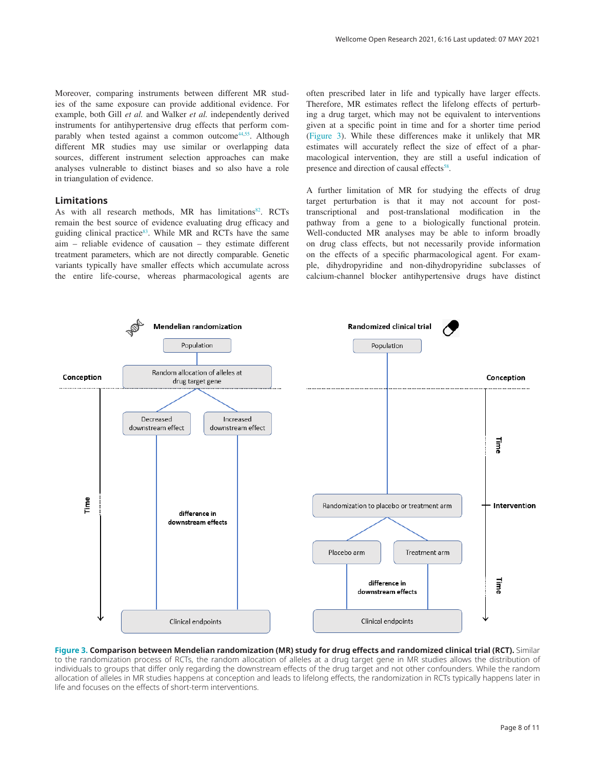Moreover, comparing instruments between different MR studies of the same exposure can provide additional evidence. For example, both Gill *et al.* and Walker *et al.* independently derived instruments for antihypertensive drug effects that perform comparably when tested against a common outcome<sup>44,55</sup>. Although different MR studies may use similar or overlapping data sources, different instrument selection approaches can make analyses vulnerable to distinct biases and so also have a role in triangulation of evidence.

#### **Limitations**

As with all research methods, MR has limitations<sup>[82](#page-10-0)</sup>. RCTs remain the best source of evidence evaluating drug efficacy and guiding clinical practice $83$ . While MR and RCTs have the same aim – reliable evidence of causation – they estimate different treatment parameters, which are not directly comparable. Genetic variants typically have smaller effects which accumulate across the entire life-course, whereas pharmacological agents are often prescribed later in life and typically have larger effects. Therefore, MR estimates reflect the lifelong effects of perturbing a drug target, which may not be equivalent to interventions given at a specific point in time and for a shorter time period (Figure 3). While these differences make it unlikely that MR estimates will accurately reflect the size of effect of a pharmacological intervention, they are still a useful indication of presence and direction of causal effects<sup>[58](#page-9-0)</sup>.

A further limitation of MR for studying the effects of drug target perturbation is that it may not account for posttranscriptional and post-translational modification in the pathway from a gene to a biologically functional protein. Well-conducted MR analyses may be able to inform broadly on drug class effects, but not necessarily provide information on the effects of a specific pharmacological agent. For example, dihydropyridine and non-dihydropyridine subclasses of calcium-channel blocker antihypertensive drugs have distinct



**Figure 3. Comparison between Mendelian randomization (MR) study for drug effects and randomized clinical trial (RCT).** Similar to the randomization process of RCTs, the random allocation of alleles at a drug target gene in MR studies allows the distribution of individuals to groups that differ only regarding the downstream effects of the drug target and not other confounders. While the random allocation of alleles in MR studies happens at conception and leads to lifelong effects, the randomization in RCTs typically happens later in life and focuses on the effects of short-term interventions.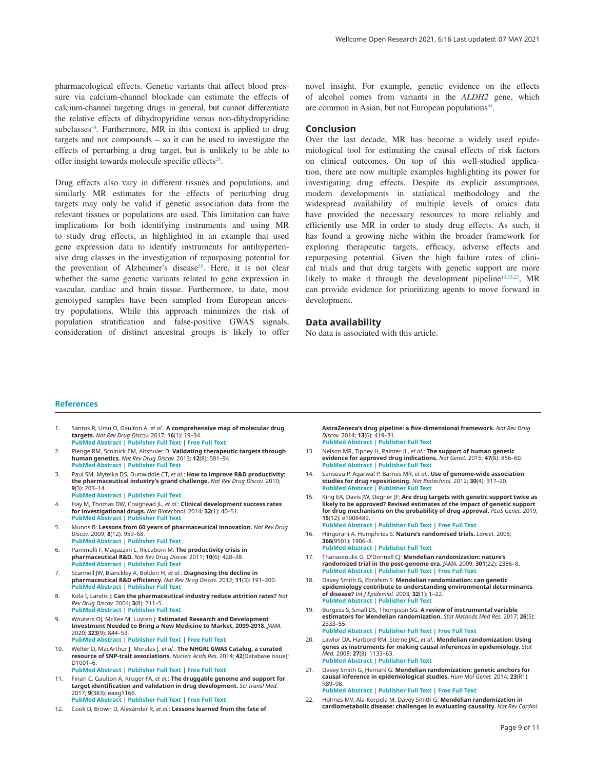<span id="page-8-0"></span>pharmacological effects. Genetic variants that affect blood pressure via calcium-channel blockade can estimate the effects of calcium-channel targeting drugs in general, but cannot differentiate the relative effects of dihydropyridine versus non-dihydropyridine subclasses<sup>44</sup>. Furthermore, MR in this context is applied to drug targets and not compounds – so it can be used to investigate the effects of perturbing a drug target, but is unlikely to be able to offer insight towards molecule specific effects<sup>28</sup>.

Drug effects also vary in different tissues and populations, and similarly MR estimates for the effects of perturbing drug targets may only be valid if genetic association data from the relevant tissues or populations are used. This limitation can have implications for both identifying instruments and using MR to study drug effects, as highlighted in an example that used gene expression data to identify instruments for antihypertensive drug classes in the investigation of repurposing potential for the prevention of Alzheimer's disease<sup>[55](#page-9-0)</sup>. Here, it is not clear whether the same genetic variants related to gene expression in vascular, cardiac and brain tissue. Furthermore, to date, most genotyped samples have been sampled from European ancestry populations. While this approach minimizes the risk of population stratification and false-positive GWAS signals, consideration of distinct ancestral groups is likely to offer

novel insight. For example, genetic evidence on the effects of alcohol comes from variants in the *ALDH2* gene, which are common in Asian, but not European populations<sup>[84](#page-10-0)</sup>.

#### **Conclusion**

Over the last decade, MR has become a widely used epidemiological tool for estimating the causal effects of risk factors on clinical outcomes. On top of this well-studied application, there are now multiple examples highlighting its power for investigating drug effects. Despite its explicit assumptions, modern developments in statistical methodology and the widespread availability of multiple levels of omics data have provided the necessary resources to more reliably and efficiently use MR in order to study drug effects. As such, it has found a growing niche within the broader framework for exploring therapeutic targets, efficacy, adverse effects and repurposing potential. Given the high failure rates of clinical trials and that drug targets with genetic support are more likely to make it through the development pipeline $13,15,23$  $13,15,23$ , MR can provide evidence for prioritizing agents to move forward in development.

#### **Data availability**

No data is associated with this article.

#### **References**

- 1. Santos R, Ursu O, Gaulton A, *et al.*: **A comprehensive map of molecular drug targets.** *Nat Rev Drug Discov.* 2017; **16**(1): 19–34. **[PubMed Abstract](http://www.ncbi.nlm.nih.gov/pubmed/27910877)** | **[Publisher Full Text](http://dx.doi.org/10.1038/nrd.2016.230)** | **[Free Full Text](http://www.ncbi.nlm.nih.gov/pmc/articles/6314433)**
- 2. Plenge RM, Scolnick EM, Altshuler D: **Validating therapeutic targets through human genetics.** *Nat Rev Drug Discov.* 2013; **12**(8): 581–94. **[PubMed Abstract](http://www.ncbi.nlm.nih.gov/pubmed/23868113)** | **[Publisher Full Text](http://dx.doi.org/10.1038/nrd4051)**
- 3. Paul SM, Mytelka DS, Dunwiddie CT, *et al.*: **How to improve R&D productivity: the pharmaceutical industry's grand challenge.** *Nat Rev Drug Discov.* 2010; **9**(3): 203–14. **[PubMed Abstract](http://www.ncbi.nlm.nih.gov/pubmed/20168317)** | **[Publisher Full Text](http://dx.doi.org/10.1038/nrd3078)**
- 4. Hay M, Thomas DW, Craighead JL, *et al.*: **Clinical development success rates for investigational drugs.** *Nat Biotechnol.* 2014; **32**(1): 40–51. **[PubMed Abstract](http://www.ncbi.nlm.nih.gov/pubmed/24406927)** | **[Publisher Full Text](http://dx.doi.org/10.1038/nbt.2786)**
- 5. Munos B: **Lessons from 60 years of pharmaceutical innovation.** *Nat Rev Drug Discov.* 2009; **8**(12): 959–68. **[PubMed Abstract](http://www.ncbi.nlm.nih.gov/pubmed/19949401)** | **[Publisher Full Text](http://dx.doi.org/10.1038/nrd2961)**
- 6. Pammolli F, Magazzini L, Riccaboni M: **The productivity crisis in pharmaceutical R&D.** *Nat Rev Drug Discov.* 2011; **10**(6): 428–38. **[PubMed Abstract](http://www.ncbi.nlm.nih.gov/pubmed/21629293)** | **[Publisher Full Text](http://dx.doi.org/10.1038/nrd3405)**
- 7. Scannell JW, Blanckley A, Boldon H, *et al.*: **Diagnosing the decline in pharmaceutical R&D efficiency.** *Nat Rev Drug Discov.* 2012; **11**(3): 191–200. **[PubMed Abstract](http://www.ncbi.nlm.nih.gov/pubmed/22378269)** | **[Publisher Full Text](http://dx.doi.org/10.1038/nrd3681)**
- 8. Kola I, Landis |: **Can the pharmaceutical industry reduce attrition rates?** Nat *Rev Drug Discov.* 2004; **3**(8): 711–5. **[PubMed Abstract](http://www.ncbi.nlm.nih.gov/pubmed/15286737)** | **[Publisher Full Text](http://dx.doi.org/10.1038/nrd1470)**
- 9. Wouters OJ, McKee M, Luyten J: **Estimated Research and Development Investment Needed to Bring a New Medicine to Market, 2009-2018.** *JAMA.* 2020; **323**(9): 844–53. **[PubMed Abstract](http://www.ncbi.nlm.nih.gov/pubmed/32125404)** | **[Publisher Full Text](http://dx.doi.org/10.1001/jama.2020.1166)** | **[Free Full Text](http://www.ncbi.nlm.nih.gov/pmc/articles/7054832)**
- 10. Welter D, MacArthur J, Morales J, *et al.*: **The NHGRI GWAS Catalog, a curated resource of SNP-trait associations.** *Nucleic Acids Res.* 2014; **42**(Database issue): D1001–6. **[PubMed Abstract](http://www.ncbi.nlm.nih.gov/pubmed/24316577)** | **[Publisher Full Text](http://dx.doi.org/10.1093/nar/gkt1229)** | **[Free Full Text](http://www.ncbi.nlm.nih.gov/pmc/articles/3965119)**
- 11. Finan C, Gaulton A, Kruger FA, *et al.*: **The druggable genome and support for target identification and validation in drug development.** *Sci Transl Med.* 2017; **9**(383): eaag1166. **[PubMed Abstract](http://www.ncbi.nlm.nih.gov/pubmed/28356508)** | **[Publisher Full Text](http://dx.doi.org/10.1126/scitranslmed.aag1166)** | **[Free Full Text](http://www.ncbi.nlm.nih.gov/pmc/articles/6321762)**
- 12. Cook D, Brown D, Alexander R, *et al.*: **Lessons learned from the fate of**

**AstraZeneca's drug pipeline: a five-dimensional framework.** *Nat Rev Drug Discov.* 2014; **13**(6): 419–31.

- **[PubMed Abstract](http://www.ncbi.nlm.nih.gov/pubmed/24833294)** | **[Publisher Full Text](http://dx.doi.org/10.1038/nrd4309)**
- 13. Nelson MR, Tipney H, Painter JL, *et al.*: **The support of human genetic evidence for approved drug indications.** *Nat Genet.* 2015; **47**(8): 856–60. **[PubMed Abstract](http://www.ncbi.nlm.nih.gov/pubmed/26121088)** | **[Publisher Full Text](http://dx.doi.org/10.1038/ng.3314)**
- 14. Sanseau P, Agarwal P, Barnes MR, *et al.*: **Use of genome-wide association studies for drug repositioning.** *Nat Biotechnol.* 2012; **30**(4): 317–20. **[PubMed Abstract](http://www.ncbi.nlm.nih.gov/pubmed/22491277)** | **[Publisher Full Text](http://dx.doi.org/10.1038/nbt.2151)**
- 15. King EA, Davis JW, Degner JF: **Are drug targets with genetic support twice as likely to be approved? Revised estimates of the impact of genetic support for drug mechanisms on the probability of drug approval.** *PLoS Genet.* 2019; **15**(12): e1008489. **[PubMed Abstract](http://www.ncbi.nlm.nih.gov/pubmed/31830040)** | **[Publisher Full Text](http://dx.doi.org/10.1371/journal.pgen.1008489)** | **[Free Full Text](http://www.ncbi.nlm.nih.gov/pmc/articles/6907751)**
	-
- 16. Hingorani A, Humphries S: **Nature's randomised trials.** *Lancet.* 2005; **366**(9501): 1906–8. **[PubMed Abstract](http://www.ncbi.nlm.nih.gov/pubmed/16325682)** | **[Publisher Full Text](http://dx.doi.org/10.1016/S0140-6736(05)67767-7)**
- 17. Thanassoulis G, O'Donnell CJ: **Mendelian randomization: nature's randomized trial in the post-genome era.** *JAMA.* 2009; **301**(22): 2386–8. **[PubMed Abstract](http://www.ncbi.nlm.nih.gov/pubmed/19509388)** | **[Publisher Full Text](http://dx.doi.org/10.1001/jama.2009.812)** | **[Free Full Text](http://www.ncbi.nlm.nih.gov/pmc/articles/3457799)**
- 18. Davey Smith G, Ebrahim S: **Mendelian randomization: can genetic epidemiology contribute to understanding environmental determinants of disease?** *Int J Epidemiol.* 2003; **32**(1): 1–22. **[PubMed Abstract](http://www.ncbi.nlm.nih.gov/pubmed/12689998)** | **[Publisher Full Text](http://dx.doi.org/10.1093/ije/dyg070)**
- 19. Burgess S, Small DS, Thompson SG: **A review of instrumental variable estimators for Mendelian randomization.** *Stat Methods Med Res.* 2017; **26**(5): 2333–55. **[PubMed Abstract](http://www.ncbi.nlm.nih.gov/pubmed/26282889)** | **[Publisher Full Text](http://dx.doi.org/10.1177/0962280215597579)** | **[Free Full Text](http://www.ncbi.nlm.nih.gov/pmc/articles/5642006)**
- 20. Lawlor DA, Harbord RM, Sterne JAC, *et al.*: **Mendelian randomization: Using genes as instruments for making causal inferences in epidemiology.** *Stat Med.* 2008; **27**(8): 1133–63.
- **[PubMed Abstract](http://www.ncbi.nlm.nih.gov/pubmed/17886233)** | **[Publisher Full Text](http://dx.doi.org/10.1002/sim.3034)** 21. Davey Smith G, Hemani G: **Mendelian randomization: genetic anchors for causal inference in epidemiological studies.** *Hum Mol Genet.* 2014; **23**(R1): R89–98. **[PubMed Abstract](http://www.ncbi.nlm.nih.gov/pubmed/25064373)** | **[Publisher Full Text](http://dx.doi.org/10.1093/hmg/ddu328)** | **[Free Full Text](http://www.ncbi.nlm.nih.gov/pmc/articles/4170722)**

22. Holmes MV, Ala-Korpela M, Davey Smith G: **Mendelian randomization in cardiometabolic disease: challenges in evaluating causality.** *Nat Rev Cardiol.*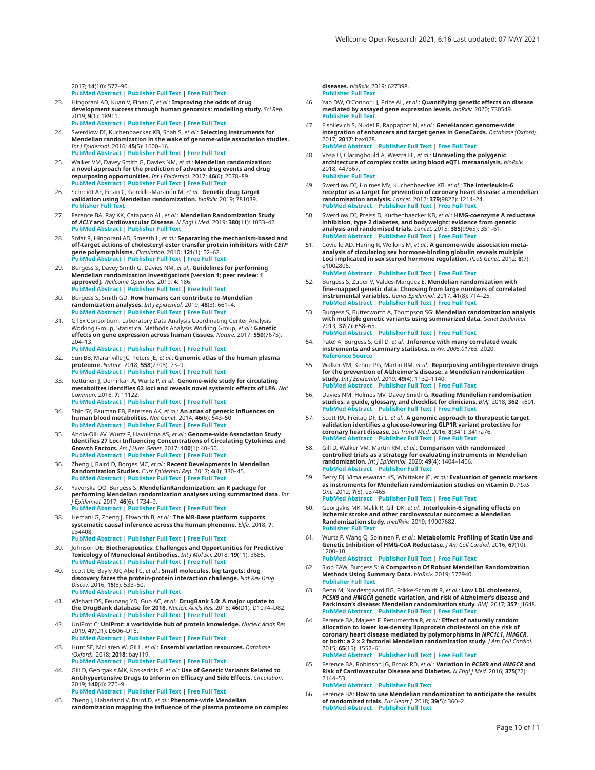<span id="page-9-0"></span>2017; **14**(10): 577–90. **[PubMed Abstract](http://www.ncbi.nlm.nih.gov/pubmed/28569269)** | **[Publisher Full Text](http://dx.doi.org/10.1038/nrcardio.2017.78)** | **[Free Full Text](http://www.ncbi.nlm.nih.gov/pmc/articles/5600813)**

- 23. Hingorani AD, Kuan V, Finan C, *et al.*: **Improving the odds of drug development success through human genomics: modelling study.** *Sci Rep.* 2019; **9**(1): 18911. **[PubMed Abstract](http://www.ncbi.nlm.nih.gov/pubmed/31827124)** | **[Publisher Full Text](http://dx.doi.org/10.1038/s41598-019-54849-w)** | **[Free Full Text](http://www.ncbi.nlm.nih.gov/pmc/articles/6906499)**
- 24. Swerdlow DI, Kuchenbaecker KB, Shah S, *et al.*: **Selecting instruments for Mendelian randomization in the wake of genome-wide association studies.** *Int J Epidemiol.* 2016; **45**(5): 1600–16. **[PubMed Abstract](http://www.ncbi.nlm.nih.gov/pubmed/27342221)** | **[Publisher Full Text](http://dx.doi.org/10.1093/ije/dyw088)** | **[Free Full Text](http://www.ncbi.nlm.nih.gov/pmc/articles/5100611)**
- 25. Walker VM, Davey Smith G, Davies NM, *et al.*: **Mendelian randomization: a novel approach for the prediction of adverse drug events and drug repurposing opportunities.** *Int J Epidemiol.* 2017; **46**(6): 2078–89. **[PubMed Abstract](http://www.ncbi.nlm.nih.gov/pubmed/29040597)** | **[Publisher Full Text](http://dx.doi.org/10.1093/ije/dyx207)** | **[Free Full Text](http://www.ncbi.nlm.nih.gov/pmc/articles/5837479)**
- 26. Schmidt AF, Finan C, Gordillo-Marañón M, *et al.*: **Genetic drug target validation using Mendelian randomization.** *bioRxiv.* 2019; 781039. **[Publisher Full Text](http://dx.doi.org/10.1101/781039)**
- 27. Ference BA, Ray KK, Catapano AL, *et al.*: **Mendelian Randomization Study of** *ACLY* **and Cardiovascular Disease.** *N Engl J Med.* 2019; **380**(11): 1033–42. **[PubMed Abstract](http://www.ncbi.nlm.nih.gov/pubmed/30865797)** | **[Publisher Full Text](http://dx.doi.org/10.1056/NEJMoa1806747)**
- 28. Sofat R, Hingorani AD, Smeeth L, *et al.*: **Separating the mechanism-based and off-target actions of cholesteryl ester transfer protein inhibitors with** *CETP* **gene polymorphisms.** *Circulation.* 2010; **121**(1): 52–62. **[PubMed Abstract](http://www.ncbi.nlm.nih.gov/pubmed/20026784)** | **[Publisher Full Text](http://dx.doi.org/10.1161/CIRCULATIONAHA.109.865444)** | **[Free Full Text](http://www.ncbi.nlm.nih.gov/pmc/articles/2811869)**
- 29. Burgess S, Davey Smith G, Davies NM, *et al.*: **Guidelines for performing Mendelian randomization investigations [version 1; peer review: 1 approved].** *Wellcome Open Res.* 2019; **4**: 186. **[PubMed Abstract](http://www.ncbi.nlm.nih.gov/pubmed/32760811)** | **[Publisher Full Text](http://dx.doi.org/10.12688/wellcomeopenres.15555.2)** | **[Free Full Text](http://www.ncbi.nlm.nih.gov/pmc/articles/7384151)**
- 30. Burgess S, Smith GD: **How humans can contribute to Mendelian randomization analyses.** *Int J Epidemiol.* 2019; **48**(3): 661–4. **[PubMed Abstract](http://www.ncbi.nlm.nih.gov/pubmed/31326987)** | **[Publisher Full Text](http://dx.doi.org/10.1093/ije/dyz152)** | **[Free Full Text](http://www.ncbi.nlm.nih.gov/pmc/articles/6739231)**
- 31. GTEx Consortium, Laboratory Data Analysis Coordinating Center Analysis Working Group, Statistical Methods Analysis Working Group, *et al.*: **Genetic effects on gene expression across human tissues.** *Nature.* 2017; **550**(7675): 204–13. **[PubMed Abstract](http://www.ncbi.nlm.nih.gov/pubmed/29022597)** | **[Publisher Full Text](http://dx.doi.org/10.1038/nature24277)** | **[Free Full Text](http://www.ncbi.nlm.nih.gov/pmc/articles/5776756)**
- 32. Sun BB, Maranville JC, Peters JE, *et al.*: **Genomic atlas of the human plasma proteome.** *Nature.* 2018; **558**(7708): 73–9. **[PubMed Abstract](http://www.ncbi.nlm.nih.gov/pubmed/29875488)** | **[Publisher Full Text](http://dx.doi.org/10.1038/s41586-018-0175-2)** | **[Free Full Text](http://www.ncbi.nlm.nih.gov/pmc/articles/6697541)**
- 33. Kettunen J, Demirkan A, Wurtz P, *et al.*: **Genome-wide study for circulating metabolites identifies 62 loci and reveals novel systemic effects of LPA.** *Nat Commun.* 2016; **7**: 11122. **[PubMed Abstract](http://www.ncbi.nlm.nih.gov/pubmed/27005778)** | **[Publisher Full Text](http://dx.doi.org/10.1038/ncomms11122)** | **[Free Full Text](http://www.ncbi.nlm.nih.gov/pmc/articles/4814583)**
- 34. Shin SY, Fauman EB, Petersen AK, *et al.*: **An atlas of genetic influences on human blood metabolites.** *Nat Genet.* 2014; **46**(6): 543–50. **[PubMed Abstract](http://www.ncbi.nlm.nih.gov/pubmed/24816252)** | **[Publisher Full Text](http://dx.doi.org/10.1038/ng.2982)** | **[Free Full Text](http://www.ncbi.nlm.nih.gov/pmc/articles/4064254)**
- 35. Ahola-Olli AV, Wurtz P, Havulinna AS, *et al.*: **Genome-wide Association Study Identifies 27 Loci Influencing Concentrations of Circulating Cytokines and Growth Factors.** *Am J Hum Genet.* 2017; **100**(1): 40–50. **[PubMed Abstract](http://www.ncbi.nlm.nih.gov/pubmed/27989323)** | **[Publisher Full Text](http://dx.doi.org/10.1016/j.ajhg.2016.11.007)** | **[Free Full Text](http://www.ncbi.nlm.nih.gov/pmc/articles/5223028)**
- 36. Zheng J, Baird D, Borges MC, *et al.*: **Recent Developments in Mendelian Randomization Studies.** *Curr Epidemiol Rep.* 2017; **4**(4): 330–45. **[PubMed Abstract](http://www.ncbi.nlm.nih.gov/pubmed/29226067)** | **[Publisher Full Text](http://dx.doi.org/10.1007/s40471-017-0128-6)** | **[Free Full Text](http://www.ncbi.nlm.nih.gov/pmc/articles/5711966)**
- 37. Yavorska OO, Burgess S: **MendelianRandomization: an R package for performing Mendelian randomization analyses using summarized data.** *Int J Epidemiol.* 2017; **46**(6): 1734–9. **[PubMed Abstract](http://www.ncbi.nlm.nih.gov/pubmed/28398548)** | **[Publisher Full Text](http://dx.doi.org/10.1093/ije/dyx034)** | **[Free Full Text](http://www.ncbi.nlm.nih.gov/pmc/articles/5510723)**
- 38. Hemani G, Zheng J, Elsworth B, *et al.*: **The MR-Base platform supports systematic causal inference across the human phenome.** *Elife.* 2018; **7**: e34408. **[PubMed Abstract](http://www.ncbi.nlm.nih.gov/pubmed/29846171)** | **[Publisher Full Text](http://dx.doi.org/10.7554/eLife.34408)** | **[Free Full Text](http://www.ncbi.nlm.nih.gov/pmc/articles/5976434)**
- 39. Johnson DE: **Biotherapeutics: Challenges and Opportunities for Predictive Toxicology of Monoclonal Antibodies.** *Int J Mol Sci.* 2018; **19**(11): 3685. **[PubMed Abstract](http://www.ncbi.nlm.nih.gov/pubmed/30469350)** | **[Publisher Full Text](http://dx.doi.org/10.3390/ijms19113685)** | **[Free Full Text](http://www.ncbi.nlm.nih.gov/pmc/articles/6274697)**
- 40. Scott DE, Bayly AR, Abell C, *et al.*: **Small molecules, big targets: drug discovery faces the protein-protein interaction challenge.** *Nat Rev Drug Discov.* 2016; **15**(8): 533–50. **[PubMed Abstract](http://www.ncbi.nlm.nih.gov/pubmed/27050677)** | **[Publisher Full Text](http://dx.doi.org/10.1038/nrd.2016.29)**
- 41. Wishart DS, Feunang YD, Guo AC, *et al.*: **DrugBank 5.0: A major update to the DrugBank database for 2018.** *Nucleic Acids Res.* 2018; **46**(D1): D1074–D82. **[PubMed Abstract](http://www.ncbi.nlm.nih.gov/pubmed/29126136)** | **[Publisher Full Text](http://dx.doi.org/10.1093/nar/gkx1037)** | **[Free Full Text](http://www.ncbi.nlm.nih.gov/pmc/articles/5753335)**
- 42. UniProt C: **UniProt: a worldwide hub of protein knowledge.** *Nucleic Acids Res.* 2019; **47**(D1): D506–D15. **[PubMed Abstract](http://www.ncbi.nlm.nih.gov/pubmed/30395287)** | **[Publisher Full Text](http://dx.doi.org/10.1093/nar/gky1049)** | **[Free Full Text](http://www.ncbi.nlm.nih.gov/pmc/articles/6323992)**
- 43. Hunt SE, McLaren W, Gil L, *et al.*: **Ensembl variation resources.** *Database (Oxford).* 2018; **2018**: bay119. **[PubMed Abstract](http://www.ncbi.nlm.nih.gov/pubmed/30576484)** | **[Publisher Full Text](http://dx.doi.org/10.1093/database/bay119)** | **[Free Full Text](http://www.ncbi.nlm.nih.gov/pmc/articles/6310513)**
- 44. Gill D, Georgakis MK, Koskeridis F, *et al.*: **Use of Genetic Variants Related to Antihypertensive Drugs to Inform on Efficacy and Side Effects.** *Circulation.* 2019; **140**(4): 270–9.
- **[PubMed Abstract](http://www.ncbi.nlm.nih.gov/pubmed/31234639)** | **[Publisher Full Text](http://dx.doi.org/10.1161/CIRCULATIONAHA.118.038814)** | **[Free Full Text](http://www.ncbi.nlm.nih.gov/pmc/articles/6687408)**
- 45. Zheng J, Haberland V, Baird D, *et al.*: **Phenome-wide Mendelian randomization mapping the influence of the plasma proteome on complex**

**diseases.** *bioRxiv.* 2019; 627398. **[Publisher Full Text](http://dx.doi.org/10.1101/627398)**

- 46. Yao DW, O'Connor LJ, Price AL, *et al.*: **Quantifying genetic effects on disease mediated by assayed gene expression levels.** *bioRxiv.* 2020; 730549. **[Publisher Full Text](http://dx.doi.org/10.1101/730549)**
- 47. Fishilevich S, Nudel R, Rappaport N, *et al.*: **GeneHancer: genome-wide integration of enhancers and target genes in GeneCards.** *Database (Oxford).* 2017; **2017**: bax028. **[PubMed Abstract](http://www.ncbi.nlm.nih.gov/pubmed/28605766)** | **[Publisher Full Text](http://dx.doi.org/10.1093/database/bax028)** | **[Free Full Text](http://www.ncbi.nlm.nih.gov/pmc/articles/5467550)**
- 48. Võsa U, Claringbould A, Westra HJ, *et al.*: **Unraveling the polygenic architecture of complex traits using blood eQTL metaanalysis.** *bioRxiv.* 2018; 447367. **[Publisher Full Text](http://dx.doi.org/10.1101/447367)**
- 49. Swerdlow DI, Holmes MV, Kuchenbaecker KB, *et al.*: **The interleukin-6**  receptor as a target for prevention of coronary heart disease: a mendelian<br>randomisation analysis. *Lance*t. 2012; 379(9822): 1214–24.<br>[PubMed Abstract](http://www.ncbi.nlm.nih.gov/pubmed/22421340) | [Publisher Full Text](http://dx.doi.org/10.1016/S0140-6736(12)60110-X) | [Free Full Text](http://www.ncbi.nlm.nih.gov/pmc/articles/3316968)
- 50. Swerdlow DI, Preiss D, Kuchenbaecker KB, *et al.*: **HMG-coenzyme A reductase inhibition, type 2 diabetes, and bodyweight: evidence from genetic analysis and randomised trials.** *Lancet.* 2015; **385**(9965): 351–61. **[PubMed Abstract](http://www.ncbi.nlm.nih.gov/pubmed/25262344)** | **[Publisher Full Text](http://dx.doi.org/10.1016/S0140-6736(14)61183-1)** | **[Free Full Text](http://www.ncbi.nlm.nih.gov/pmc/articles/4322187)**
- 51. Coviello AD, Haring R, Wellons M, *et al.*: **A genome-wide association metaanalysis of circulating sex hormone-binding globulin reveals multiple Loci implicated in sex steroid hormone regulation.** *PLoS Genet.* 2012; **8**(7): e1002805.
- **[PubMed Abstract](http://www.ncbi.nlm.nih.gov/pubmed/22829776)** | **[Publisher Full Text](http://dx.doi.org/10.1371/journal.pgen.1002805)** | **[Free Full Text](http://www.ncbi.nlm.nih.gov/pmc/articles/3400553)** 52. Burgess S, Zuber V, Valdes-Marquez E: **Mendelian randomization with fine-mapped genetic data: Choosing from large numbers of correlated instrumental variables.** *Genet Epidemiol.* 2017; **41**(8): 714–25. **[PubMed Abstract](http://www.ncbi.nlm.nih.gov/pubmed/28944551)** | **[Publisher Full Text](http://dx.doi.org/10.1002/gepi.22077)** | **[Free Full Text](http://www.ncbi.nlm.nih.gov/pmc/articles/5725678)**
- 53. Burgess S, Butterworth A, Thompson SG: **Mendelian randomization analysis with multiple genetic variants using summarized data.** *Genet Epidemiol.* 2013; **37**(7): 658–65.
- **[PubMed Abstract](http://www.ncbi.nlm.nih.gov/pubmed/24114802)** | **[Publisher Full Text](http://dx.doi.org/10.1002/gepi.21758)** | **[Free Full Text](http://www.ncbi.nlm.nih.gov/pmc/articles/4377079)** 54. Patel A, Burgess S, Gill D, *et al.*: **Inference with many correlated weak instruments and summary statistics.** *arXiv: 2005.01765.* 2020. **[Reference Source](https://arxiv.org/abs/2005.01765)**
- 55. Walker VM, Kehoe PG, Martin RM, *et al.*: **Repurposing antihypertensive drugs for the prevention of Alzheimer's disease: a Mendelian randomization study.** *Int J Epidemiol.* 2019; **49**(4): 1132–1140. **[PubMed Abstract](http://www.ncbi.nlm.nih.gov/pubmed/31335937)** | **[Publisher Full Text](http://dx.doi.org/10.1093/ije/dyz155)** | **[Free Full Text](http://www.ncbi.nlm.nih.gov/pmc/articles/7751008)**
- 56. Davies NM, Holmes MV, Davey Smith G: **Reading Mendelian randomisation studies: a guide, glossary, and checklist for clinicians.** *BMJ.* 2018; **362**: k601. **[PubMed Abstract](http://www.ncbi.nlm.nih.gov/pubmed/30002074)** | **[Publisher Full Text](http://dx.doi.org/10.1136/bmj.k601)** | **[Free Full Text](http://www.ncbi.nlm.nih.gov/pmc/articles/6041728)**
- 57. Scott RA, Freitag DF, Li L, *et al.*: **A genomic approach to therapeutic target validation identifies a glucose-lowering GLP1R variant protective for coronary heart disease.** *Sci Transl Med.* 2016; **8**(341): 341ra76. **[PubMed Abstract](http://www.ncbi.nlm.nih.gov/pubmed/27252175)** | **[Publisher Full Text](http://dx.doi.org/10.1126/scitranslmed.aad3744)** | **[Free Full Text](http://www.ncbi.nlm.nih.gov/pmc/articles/5219001)**
- 58. Gill D, Walker VM, Martin RM, *et al.*: **Comparison with randomized controlled trials as a strategy for evaluating instruments in Mendelian randomization.** *Int J Epidemiol.* 2020; **49**(4): 1404–1406. **[PubMed Abstract](http://www.ncbi.nlm.nih.gov/pubmed/31764983)** | **[Publisher Full Text](http://dx.doi.org/10.1093/ije/dyz236)**
- 59. Berry DJ, Vimaleswaran KS, Whittaker JC, *et al.*: **Evaluation of genetic markers as instruments for Mendelian randomization studies on vitamin D.** *PLoS One.* 2012; **7**(5): e37465. **[PubMed Abstract](http://www.ncbi.nlm.nih.gov/pubmed/22629401)** | **[Publisher Full Text](http://dx.doi.org/10.1371/journal.pone.0037465)** | **[Free Full Text](http://www.ncbi.nlm.nih.gov/pmc/articles/3357436)**
- Georgakis MK, Malik R, Gill DK, et al.: **Interleukin-6 signaling effects on ischemic stroke and other cardiovascular outcomes: a Mendelian Randomization study.** *medRxiv.* 2019; 19007682. **[Publisher Full Text](http://dx.doi.org/10.1101/19007682)**
- 61. Wurtz P, Wang Q, Soininen P, *et al.*: **Metabolomic Profiling of Statin Use and Genetic Inhibition of HMG-CoA Reductase.** *J Am Coll Cardiol.* 2016; **67**(10): 1200–10.
	- **[PubMed Abstract](http://www.ncbi.nlm.nih.gov/pubmed/26965542)** | **[Publisher Full Text](http://dx.doi.org/10.1016/j.jacc.2015.12.060)** | **[Free Full Text](http://www.ncbi.nlm.nih.gov/pmc/articles/4783625)**
- 62. Slob EAW, Burgess S: **A Comparison Of Robust Mendelian Randomization Methods Using Summary Data.** *bioRxiv.* 2019; 577940. **[Publisher Full Text](http://dx.doi.org/10.1101/577940)**
- 63. Benn M, Nordestgaard BG, Frikke-Schmidt R, *et al.*: **Low LDL cholesterol,**  *PCSK9* **and** *HMGCR* **genetic variation, and risk of Alzheimer's disease and Parkinson's disease: Mendelian randomisation study.** *BMJ.* 2017; **357**: j1648. **[PubMed Abstract](http://www.ncbi.nlm.nih.gov/pubmed/28438747)** | **[Publisher Full Text](http://dx.doi.org/10.1136/bmj.j1648)** | **[Free Full Text](http://www.ncbi.nlm.nih.gov/pmc/articles/5421439)**
- 64. Ference BA, Majeed F, Penumetcha R, *et al.*: **Effect of naturally random allocation to lower low-density lipoprotein cholesterol on the risk of coronary heart disease mediated by polymorphisms in** *NPC1L1***,** *HMGCR***, or both: a 2 x 2 factorial Mendelian randomization study.** *J Am Coll Cardiol.* 2015; **65**(15): 1552–61. **[PubMed Abstract](http://www.ncbi.nlm.nih.gov/pubmed/25770315)** | **[Publisher Full Text](http://dx.doi.org/10.1016/j.jacc.2015.02.020)** | **[Free Full Text](http://www.ncbi.nlm.nih.gov/pmc/articles/6101243)**
- 65. Ference BA, Robinson JG, Brook RD, *et al.*: **Variation in** *PCSK9* **and** *HMGCR* **and Risk of Cardiovascular Disease and Diabetes.** *N Engl J Med.* 2016; **375**(22): 2144–53. **[PubMed Abstract](http://www.ncbi.nlm.nih.gov/pubmed/27959767)** | **[Publisher Full Text](http://dx.doi.org/10.1056/NEJMoa1604304)**
- 66. Ference BA: **How to use Mendelian randomization to anticipate the results of randomized trials.** *Eur Heart J.* 2018; **39**(5): 360–2. **[PubMed Abstract](http://www.ncbi.nlm.nih.gov/pubmed/29020392)** | **[Publisher Full Text](http://dx.doi.org/10.1093/eurheartj/ehx462)**